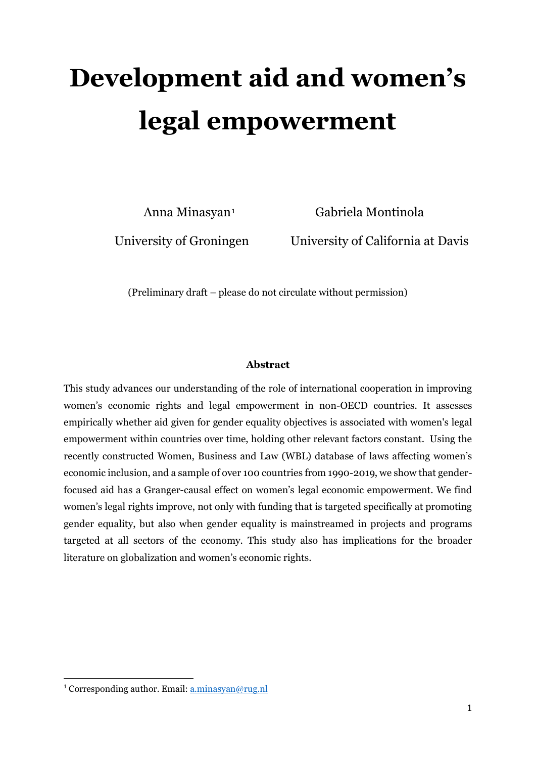# **Development aid and women's legal empowerment**

University of Groningen University of California at Davis

Anna Minasyan<sup>[1](#page-0-0)</sup> Gabriela Montinola

(Preliminary draft – please do not circulate without permission)

## **Abstract**

This study advances our understanding of the role of international cooperation in improving women's economic rights and legal empowerment in non-OECD countries. It assesses empirically whether aid given for gender equality objectives is associated with women's legal empowerment within countries over time, holding other relevant factors constant. Using the recently constructed Women, Business and Law (WBL) database of laws affecting women's economic inclusion, and a sample of over 100 countries from 1990-2019, we show that genderfocused aid has a Granger-causal effect on women's legal economic empowerment. We find women's legal rights improve, not only with funding that is targeted specifically at promoting gender equality, but also when gender equality is mainstreamed in projects and programs targeted at all sectors of the economy. This study also has implications for the broader literature on globalization and women's economic rights.

<span id="page-0-0"></span><sup>&</sup>lt;sup>1</sup> Corresponding author. Email: **a.minasyan@rug.nl**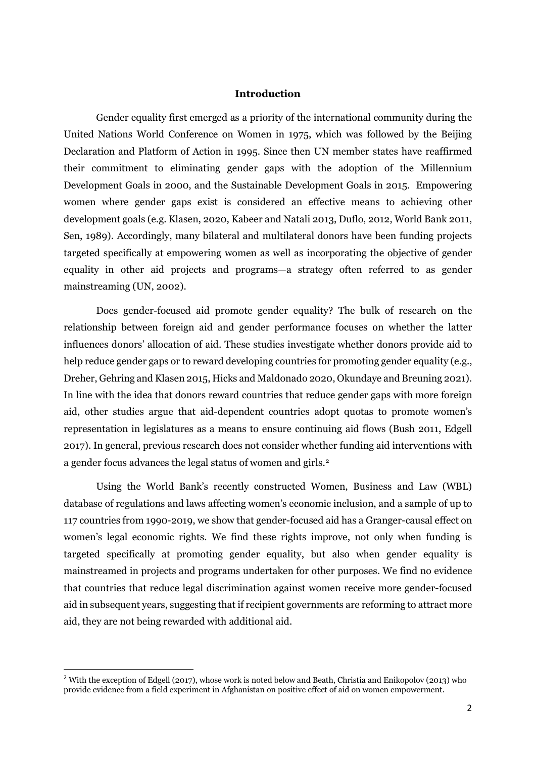## **Introduction**

Gender equality first emerged as a priority of the international community during the United Nations World Conference on Women in 1975, which was followed by the Beijing Declaration and Platform of Action in 1995. Since then UN member states have reaffirmed their commitment to eliminating gender gaps with the adoption of the Millennium Development Goals in 2000, and the Sustainable Development Goals in 2015. Empowering women where gender gaps exist is considered an effective means to achieving other development goals (e.g. Klasen, 2020, Kabeer and Natali 2013, Duflo, 2012, World Bank 2011, Sen, 1989). Accordingly, many bilateral and multilateral donors have been funding projects targeted specifically at empowering women as well as incorporating the objective of gender equality in other aid projects and programs—a strategy often referred to as gender mainstreaming (UN, 2002).

Does gender-focused aid promote gender equality? The bulk of research on the relationship between foreign aid and gender performance focuses on whether the latter influences donors' allocation of aid. These studies investigate whether donors provide aid to help reduce gender gaps or to reward developing countries for promoting gender equality (e.g., Dreher, Gehring and Klasen 2015, Hicks and Maldonado 2020, Okundaye and Breuning 2021). In line with the idea that donors reward countries that reduce gender gaps with more foreign aid, other studies argue that aid-dependent countries adopt quotas to promote women's representation in legislatures as a means to ensure continuing aid flows (Bush 2011, Edgell 2017). In general, previous research does not consider whether funding aid interventions with a gender focus advances the legal status of women and girls.<sup>[2](#page-1-0)</sup>

Using the World Bank's recently constructed Women, Business and Law (WBL) database of regulations and laws affecting women's economic inclusion, and a sample of up to 117 countries from 1990-2019, we show that gender-focused aid has a Granger-causal effect on women's legal economic rights. We find these rights improve, not only when funding is targeted specifically at promoting gender equality, but also when gender equality is mainstreamed in projects and programs undertaken for other purposes. We find no evidence that countries that reduce legal discrimination against women receive more gender-focused aid in subsequent years, suggesting that if recipient governments are reforming to attract more aid, they are not being rewarded with additional aid.

<span id="page-1-0"></span><sup>&</sup>lt;sup>2</sup> With the exception of Edgell (2017), whose work is noted below and Beath, Christia and Enikopolov (2013) who provide evidence from a field experiment in Afghanistan on positive effect of aid on women empowerment.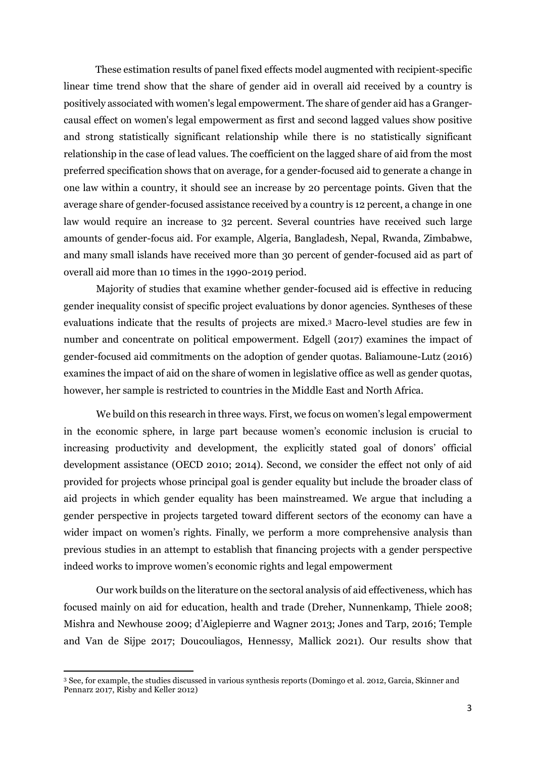These estimation results of panel fixed effects model augmented with recipient-specific linear time trend show that the share of gender aid in overall aid received by a country is positively associated with women's legal empowerment. The share of gender aid has a Grangercausal effect on women's legal empowerment as first and second lagged values show positive and strong statistically significant relationship while there is no statistically significant relationship in the case of lead values. The coefficient on the lagged share of aid from the most preferred specification shows that on average, for a gender-focused aid to generate a change in one law within a country, it should see an increase by 20 percentage points. Given that the average share of gender-focused assistance received by a country is 12 percent, a change in one law would require an increase to 32 percent. Several countries have received such large amounts of gender-focus aid. For example, Algeria, Bangladesh, Nepal, Rwanda, Zimbabwe, and many small islands have received more than 30 percent of gender-focused aid as part of overall aid more than 10 times in the 1990-2019 period.

Majority of studies that examine whether gender-focused aid is effective in reducing gender inequality consist of specific project evaluations by donor agencies. Syntheses of these evaluations indicate that the results of projects are mixed.[3](#page-2-0) Macro-level studies are few in number and concentrate on political empowerment. Edgell (2017) examines the impact of gender-focused aid commitments on the adoption of gender quotas. Baliamoune-Lutz (2016) examines the impact of aid on the share of women in legislative office as well as gender quotas, however, her sample is restricted to countries in the Middle East and North Africa.

We build on this research in three ways. First, we focus on women's legal empowerment in the economic sphere, in large part because women's economic inclusion is crucial to increasing productivity and development, the explicitly stated goal of donors' official development assistance (OECD 2010; 2014). Second, we consider the effect not only of aid provided for projects whose principal goal is gender equality but include the broader class of aid projects in which gender equality has been mainstreamed. We argue that including a gender perspective in projects targeted toward different sectors of the economy can have a wider impact on women's rights. Finally, we perform a more comprehensive analysis than previous studies in an attempt to establish that financing projects with a gender perspective indeed works to improve women's economic rights and legal empowerment

Our work builds on the literature on the sectoral analysis of aid effectiveness, which has focused mainly on aid for education, health and trade (Dreher, Nunnenkamp, Thiele 2008; Mishra and Newhouse 2009; d'Aiglepierre and Wagner 2013; Jones and Tarp, 2016; Temple and Van de Sijpe 2017; Doucouliagos, Hennessy, Mallick 2021). Our results show that

 $\overline{a}$ 

<span id="page-2-0"></span><sup>3</sup> See, for example, the studies discussed in various synthesis reports (Domingo et al. 2012, Garcia, Skinner and Pennarz 2017, Risby and Keller 2012)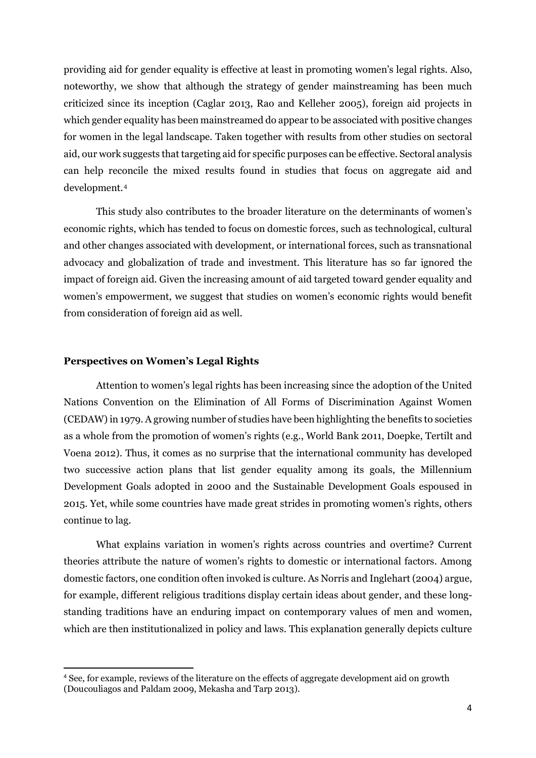providing aid for gender equality is effective at least in promoting women's legal rights. Also, noteworthy, we show that although the strategy of gender mainstreaming has been much criticized since its inception (Caglar 2013, Rao and Kelleher 2005), foreign aid projects in which gender equality has been mainstreamed do appear to be associated with positive changes for women in the legal landscape. Taken together with results from other studies on sectoral aid, our work suggests that targeting aid for specific purposes can be effective. Sectoral analysis can help reconcile the mixed results found in studies that focus on aggregate aid and development.[4](#page-3-0)

This study also contributes to the broader literature on the determinants of women's economic rights, which has tended to focus on domestic forces, such as technological, cultural and other changes associated with development, or international forces, such as transnational advocacy and globalization of trade and investment. This literature has so far ignored the impact of foreign aid. Given the increasing amount of aid targeted toward gender equality and women's empowerment, we suggest that studies on women's economic rights would benefit from consideration of foreign aid as well.

#### **Perspectives on Women's Legal Rights**

Attention to women's legal rights has been increasing since the adoption of the United Nations Convention on the Elimination of All Forms of Discrimination Against Women (CEDAW) in 1979. A growing number of studies have been highlighting the benefits to societies as a whole from the promotion of women's rights (e.g., World Bank 2011, Doepke, Tertilt and Voena 2012). Thus, it comes as no surprise that the international community has developed two successive action plans that list gender equality among its goals, the Millennium Development Goals adopted in 2000 and the Sustainable Development Goals espoused in 2015. Yet, while some countries have made great strides in promoting women's rights, others continue to lag.

What explains variation in women's rights across countries and overtime? Current theories attribute the nature of women's rights to domestic or international factors. Among domestic factors, one condition often invoked is culture. As Norris and Inglehart (2004) argue, for example, different religious traditions display certain ideas about gender, and these longstanding traditions have an enduring impact on contemporary values of men and women, which are then institutionalized in policy and laws. This explanation generally depicts culture

<span id="page-3-0"></span><sup>&</sup>lt;sup>4</sup> See, for example, reviews of the literature on the effects of aggregate development aid on growth (Doucouliagos and Paldam 2009, Mekasha and Tarp 2013).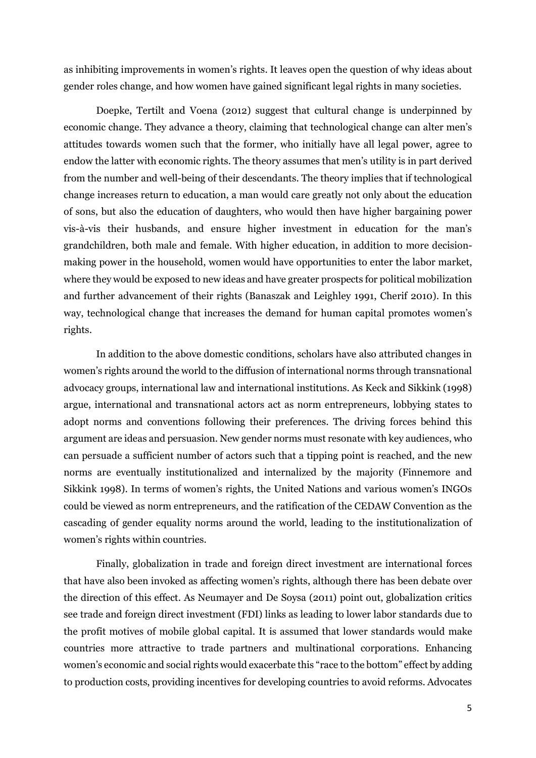as inhibiting improvements in women's rights. It leaves open the question of why ideas about gender roles change, and how women have gained significant legal rights in many societies.

Doepke, Tertilt and Voena (2012) suggest that cultural change is underpinned by economic change. They advance a theory, claiming that technological change can alter men's attitudes towards women such that the former, who initially have all legal power, agree to endow the latter with economic rights. The theory assumes that men's utility is in part derived from the number and well-being of their descendants. The theory implies that if technological change increases return to education, a man would care greatly not only about the education of sons, but also the education of daughters, who would then have higher bargaining power vis-à-vis their husbands, and ensure higher investment in education for the man's grandchildren, both male and female. With higher education, in addition to more decisionmaking power in the household, women would have opportunities to enter the labor market, where they would be exposed to new ideas and have greater prospects for political mobilization and further advancement of their rights (Banaszak and Leighley 1991, Cherif 2010). In this way, technological change that increases the demand for human capital promotes women's rights.

In addition to the above domestic conditions, scholars have also attributed changes in women's rights around the world to the diffusion of international norms through transnational advocacy groups, international law and international institutions. As Keck and Sikkink (1998) argue, international and transnational actors act as norm entrepreneurs, lobbying states to adopt norms and conventions following their preferences. The driving forces behind this argument are ideas and persuasion. New gender norms must resonate with key audiences, who can persuade a sufficient number of actors such that a tipping point is reached, and the new norms are eventually institutionalized and internalized by the majority (Finnemore and Sikkink 1998). In terms of women's rights, the United Nations and various women's INGOs could be viewed as norm entrepreneurs, and the ratification of the CEDAW Convention as the cascading of gender equality norms around the world, leading to the institutionalization of women's rights within countries.

Finally, globalization in trade and foreign direct investment are international forces that have also been invoked as affecting women's rights, although there has been debate over the direction of this effect. As Neumayer and De Soysa (2011) point out, globalization critics see trade and foreign direct investment (FDI) links as leading to lower labor standards due to the profit motives of mobile global capital. It is assumed that lower standards would make countries more attractive to trade partners and multinational corporations. Enhancing women's economic and social rights would exacerbate this "race to the bottom" effect by adding to production costs, providing incentives for developing countries to avoid reforms. Advocates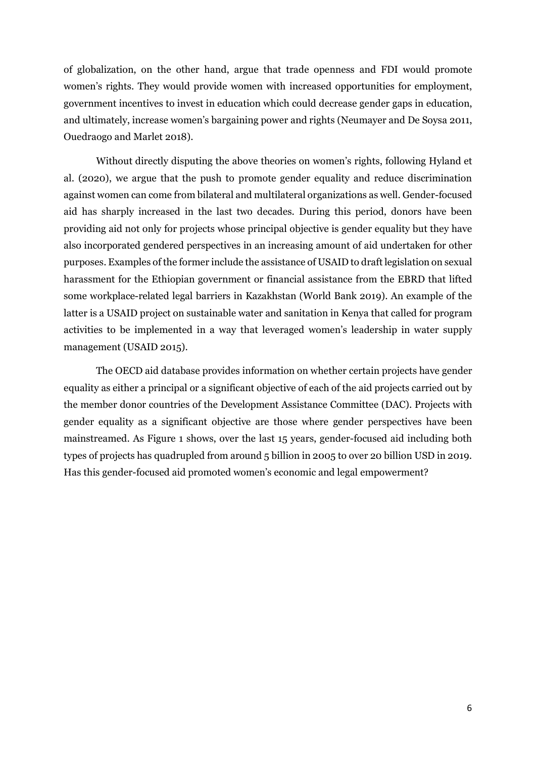of globalization, on the other hand, argue that trade openness and FDI would promote women's rights. They would provide women with increased opportunities for employment, government incentives to invest in education which could decrease gender gaps in education, and ultimately, increase women's bargaining power and rights (Neumayer and De Soysa 2011, Ouedraogo and Marlet 2018).

Without directly disputing the above theories on women's rights, following Hyland et al. (2020), we argue that the push to promote gender equality and reduce discrimination against women can come from bilateral and multilateral organizations as well. Gender-focused aid has sharply increased in the last two decades. During this period, donors have been providing aid not only for projects whose principal objective is gender equality but they have also incorporated gendered perspectives in an increasing amount of aid undertaken for other purposes. Examples of the former include the assistance of USAID to draft legislation on sexual harassment for the Ethiopian government or financial assistance from the EBRD that lifted some workplace-related legal barriers in Kazakhstan (World Bank 2019). An example of the latter is a USAID project on sustainable water and sanitation in Kenya that called for program activities to be implemented in a way that leveraged women's leadership in water supply management (USAID 2015).

The OECD aid database provides information on whether certain projects have gender equality as either a principal or a significant objective of each of the aid projects carried out by the member donor countries of the Development Assistance Committee (DAC). Projects with gender equality as a significant objective are those where gender perspectives have been mainstreamed. As Figure 1 shows, over the last 15 years, gender-focused aid including both types of projects has quadrupled from around 5 billion in 2005 to over 20 billion USD in 2019. Has this gender-focused aid promoted women's economic and legal empowerment?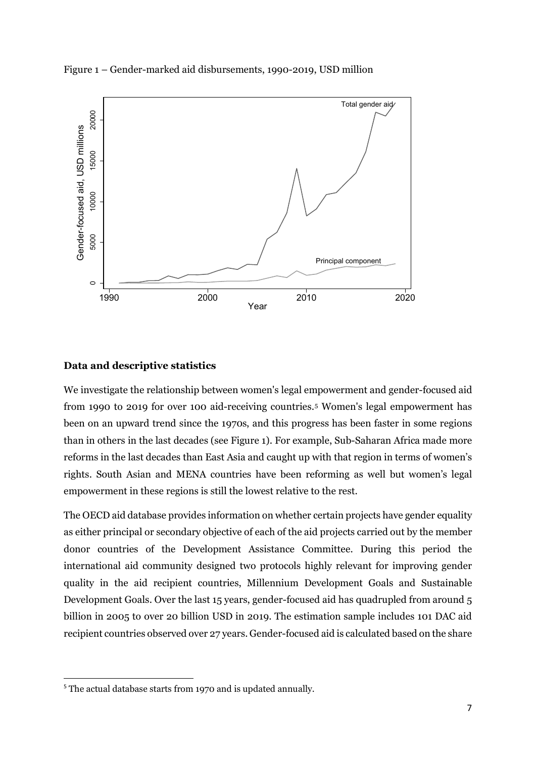

Figure 1 – Gender-marked aid disbursements, 1990-2019, USD million

# **Data and descriptive statistics**

We investigate the relationship between women's legal empowerment and gender-focused aid from 1990 to 2019 for over 100 aid-receiving countries.[5](#page-6-0) Women's legal empowerment has been on an upward trend since the 1970s, and this progress has been faster in some regions than in others in the last decades (see Figure 1). For example, Sub-Saharan Africa made more reforms in the last decades than East Asia and caught up with that region in terms of women's rights. South Asian and MENA countries have been reforming as well but women's legal empowerment in these regions is still the lowest relative to the rest.

The OECD aid database provides information on whether certain projects have gender equality as either principal or secondary objective of each of the aid projects carried out by the member donor countries of the Development Assistance Committee. During this period the international aid community designed two protocols highly relevant for improving gender quality in the aid recipient countries, Millennium Development Goals and Sustainable Development Goals. Over the last 15 years, gender-focused aid has quadrupled from around 5 billion in 2005 to over 20 billion USD in 2019. The estimation sample includes 101 DAC aid recipient countries observed over 27 years. Gender-focused aid is calculated based on the share

<span id="page-6-0"></span><sup>&</sup>lt;sup>5</sup> The actual database starts from 1970 and is updated annually.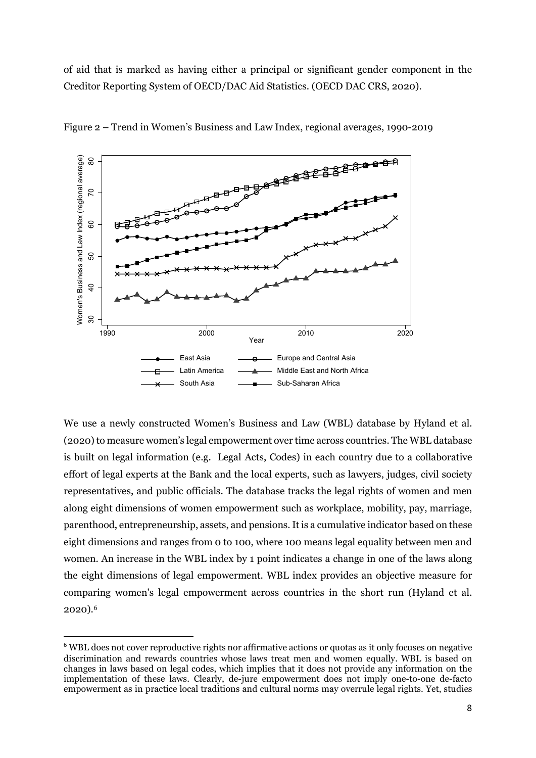of aid that is marked as having either a principal or significant gender component in the Creditor Reporting System of OECD/DAC Aid Statistics. (OECD DAC CRS, 2020).



Figure 2 – Trend in Women's Business and Law Index, regional averages, 1990-2019

We use a newly constructed Women's Business and Law (WBL) database by Hyland et al. (2020) to measure women's legal empowerment over time across countries. The WBL database is built on legal information (e.g. Legal Acts, Codes) in each country due to a collaborative effort of legal experts at the Bank and the local experts, such as lawyers, judges, civil society representatives, and public officials. The database tracks the legal rights of women and men along eight dimensions of women empowerment such as workplace, mobility, pay, marriage, parenthood, entrepreneurship, assets, and pensions. It is a cumulative indicator based on these eight dimensions and ranges from 0 to 100, where 100 means legal equality between men and women. An increase in the WBL index by 1 point indicates a change in one of the laws along the eight dimensions of legal empowerment. WBL index provides an objective measure for comparing women's legal empowerment across countries in the short run (Hyland et al. 2020).[6](#page-7-0)

<span id="page-7-0"></span> <sup>6</sup> WBL does not cover reproductive rights nor affirmative actions or quotas as it only focuses on negative discrimination and rewards countries whose laws treat men and women equally. WBL is based on changes in laws based on legal codes, which implies that it does not provide any information on the implementation of these laws. Clearly, de-jure empowerment does not imply one-to-one de-facto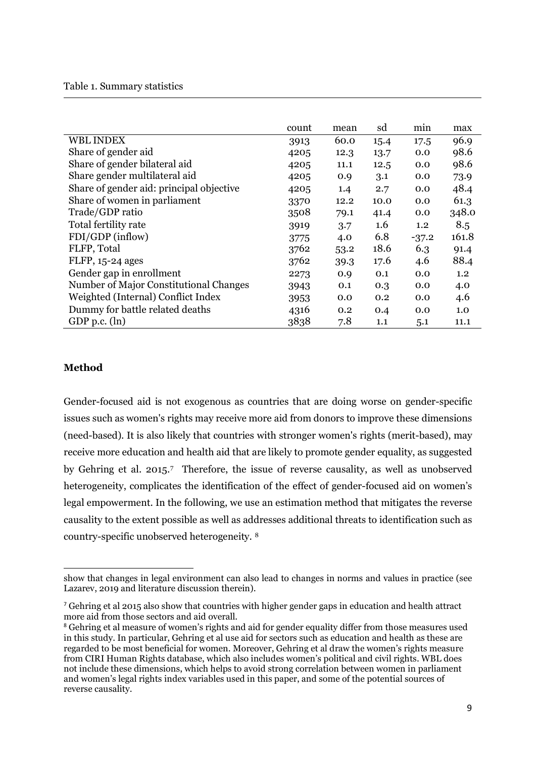#### Table 1. Summary statistics

|                                          | count | mean | sd   | mın     | max   |
|------------------------------------------|-------|------|------|---------|-------|
| <b>WBL INDEX</b>                         | 3913  | 60.0 | 15.4 | 17.5    | 96.9  |
| Share of gender aid                      | 4205  | 12.3 | 13.7 | 0.0     | 98.6  |
| Share of gender bilateral aid            | 4205  | 11.1 | 12.5 | 0.0     | 98.6  |
| Share gender multilateral aid            | 4205  | 0.9  | 3.1  | 0.0     | 73.9  |
| Share of gender aid: principal objective | 4205  | 1.4  | 2.7  | 0.0     | 48.4  |
| Share of women in parliament             | 3370  | 12.2 | 10.0 | 0.0     | 61.3  |
| Trade/GDP ratio                          | 3508  | 79.1 | 41.4 | 0.0     | 348.0 |
| Total fertility rate                     | 3919  | 3.7  | 1.6  | 1.2     | 8.5   |
| FDI/GDP (inflow)                         | 3775  | 4.0  | 6.8  | $-37.2$ | 161.8 |
| FLFP, Total                              | 3762  | 53.2 | 18.6 | 6.3     | 91.4  |
| FLFP, 15-24 ages                         | 3762  | 39.3 | 17.6 | 4.6     | 88.4  |
| Gender gap in enrollment                 | 2273  | 0.9  | 0.1  | 0.0     | 1.2   |
| Number of Major Constitutional Changes   | 3943  | 0.1  | 0.3  | 0.0     | 4.0   |
| Weighted (Internal) Conflict Index       | 3953  | 0.0  | 0.2  | 0.0     | 4.6   |
| Dummy for battle related deaths          | 4316  | 0.2  | 0.4  | 0.0     | 1.0   |
| GDP p.c. $(\ln)$                         | 3838  | 7.8  | 1.1  | 5.1     | 11.1  |

## **Method**

 $\overline{a}$ 

Gender-focused aid is not exogenous as countries that are doing worse on gender-specific issues such as women's rights may receive more aid from donors to improve these dimensions (need-based). It is also likely that countries with stronger women's rights (merit-based), may receive more education and health aid that are likely to promote gender equality, as suggested by Gehring et al. 2015.[7](#page-8-0) Therefore, the issue of reverse causality, as well as unobserved heterogeneity, complicates the identification of the effect of gender-focused aid on women's legal empowerment. In the following, we use an estimation method that mitigates the reverse causality to the extent possible as well as addresses additional threats to identification such as country-specific unobserved heterogeneity. [8](#page-8-1)

show that changes in legal environment can also lead to changes in norms and values in practice (see Lazarev, 2019 and literature discussion therein).

<span id="page-8-0"></span><sup>7</sup> Gehring et al 2015 also show that countries with higher gender gaps in education and health attract more aid from those sectors and aid overall.

<span id="page-8-1"></span><sup>&</sup>lt;sup>8</sup> Gehring et al measure of women's rights and aid for gender equality differ from those measures used in this study. In particular, Gehring et al use aid for sectors such as education and health as these are regarded to be most beneficial for women. Moreover, Gehring et al draw the women's rights measure from CIRI Human Rights database, which also includes women's political and civil rights. WBL does not include these dimensions, which helps to avoid strong correlation between women in parliament and women's legal rights index variables used in this paper, and some of the potential sources of reverse causality.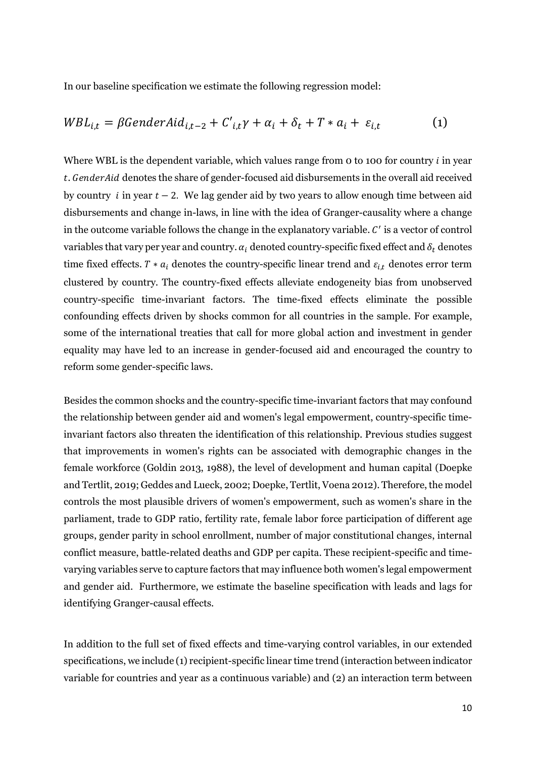In our baseline specification we estimate the following regression model:

$$
WBL_{i,t} = \beta \text{GenderA}id_{i,t-2} + C'_{i,t} \gamma + \alpha_i + \delta_t + T * a_i + \varepsilon_{i,t} \tag{1}
$$

Where WBL is the dependent variable, which values range from  $o$  to 100 for country  $i$  in year t. Gender Aid denotes the share of gender-focused aid disbursements in the overall aid received by country *i* in year  $t - 2$ . We lag gender aid by two years to allow enough time between aid disbursements and change in-laws, in line with the idea of Granger-causality where a change in the outcome variable follows the change in the explanatory variable.  $C'$  is a vector of control variables that vary per year and country.  $\alpha_i$  denoted country-specific fixed effect and  $\delta_t$  denotes time fixed effects.  $T * a_i$  denotes the country-specific linear trend and  $\varepsilon_{i,t}$  denotes error term clustered by country. The country-fixed effects alleviate endogeneity bias from unobserved country-specific time-invariant factors. The time-fixed effects eliminate the possible confounding effects driven by shocks common for all countries in the sample. For example, some of the international treaties that call for more global action and investment in gender equality may have led to an increase in gender-focused aid and encouraged the country to reform some gender-specific laws.

Besides the common shocks and the country-specific time-invariant factors that may confound the relationship between gender aid and women's legal empowerment, country-specific timeinvariant factors also threaten the identification of this relationship. Previous studies suggest that improvements in women's rights can be associated with demographic changes in the female workforce (Goldin 2013, 1988), the level of development and human capital (Doepke and Tertlit, 2019; Geddes and Lueck, 2002; Doepke, Tertlit, Voena 2012). Therefore, the model controls the most plausible drivers of women's empowerment, such as women's share in the parliament, trade to GDP ratio, fertility rate, female labor force participation of different age groups, gender parity in school enrollment, number of major constitutional changes, internal conflict measure, battle-related deaths and GDP per capita. These recipient-specific and timevarying variables serve to capture factors that may influence both women's legal empowerment and gender aid. Furthermore, we estimate the baseline specification with leads and lags for identifying Granger-causal effects.

In addition to the full set of fixed effects and time-varying control variables, in our extended specifications, we include (1) recipient-specific linear time trend (interaction between indicator variable for countries and year as a continuous variable) and (2) an interaction term between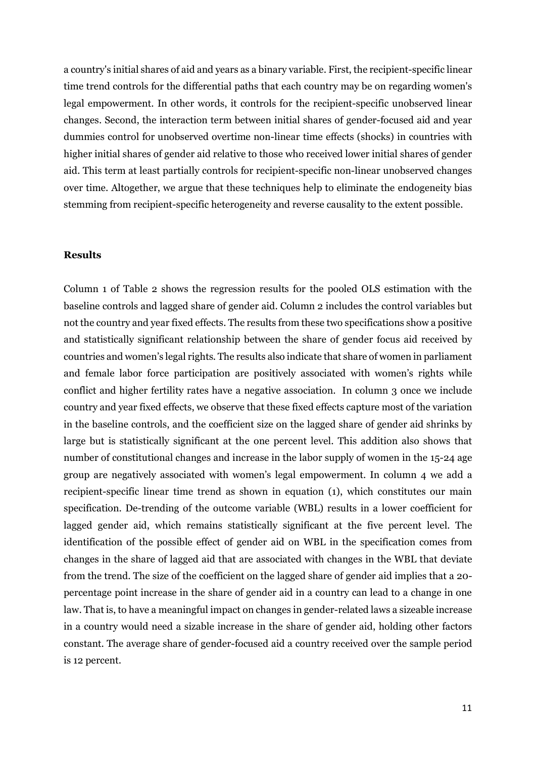a country's initial shares of aid and years as a binary variable. First, the recipient-specific linear time trend controls for the differential paths that each country may be on regarding women's legal empowerment. In other words, it controls for the recipient-specific unobserved linear changes. Second, the interaction term between initial shares of gender-focused aid and year dummies control for unobserved overtime non-linear time effects (shocks) in countries with higher initial shares of gender aid relative to those who received lower initial shares of gender aid. This term at least partially controls for recipient-specific non-linear unobserved changes over time. Altogether, we argue that these techniques help to eliminate the endogeneity bias stemming from recipient-specific heterogeneity and reverse causality to the extent possible.

#### **Results**

Column 1 of Table 2 shows the regression results for the pooled OLS estimation with the baseline controls and lagged share of gender aid. Column 2 includes the control variables but not the country and year fixed effects. The results from these two specifications show a positive and statistically significant relationship between the share of gender focus aid received by countries and women's legal rights. The results also indicate that share of women in parliament and female labor force participation are positively associated with women's rights while conflict and higher fertility rates have a negative association. In column 3 once we include country and year fixed effects, we observe that these fixed effects capture most of the variation in the baseline controls, and the coefficient size on the lagged share of gender aid shrinks by large but is statistically significant at the one percent level. This addition also shows that number of constitutional changes and increase in the labor supply of women in the 15-24 age group are negatively associated with women's legal empowerment. In column 4 we add a recipient-specific linear time trend as shown in equation (1), which constitutes our main specification. De-trending of the outcome variable (WBL) results in a lower coefficient for lagged gender aid, which remains statistically significant at the five percent level. The identification of the possible effect of gender aid on WBL in the specification comes from changes in the share of lagged aid that are associated with changes in the WBL that deviate from the trend. The size of the coefficient on the lagged share of gender aid implies that a 20 percentage point increase in the share of gender aid in a country can lead to a change in one law. That is, to have a meaningful impact on changes in gender-related laws a sizeable increase in a country would need a sizable increase in the share of gender aid, holding other factors constant. The average share of gender-focused aid a country received over the sample period is 12 percent.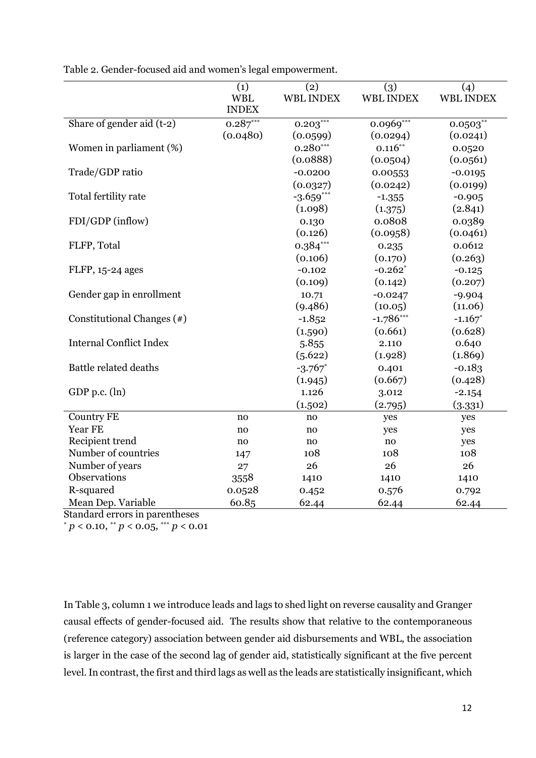|                                | (1)          | (2)              | (3)              | (4)              |
|--------------------------------|--------------|------------------|------------------|------------------|
|                                | <b>WBL</b>   | <b>WBL INDEX</b> | <b>WBL INDEX</b> | <b>WBL INDEX</b> |
|                                | <b>INDEX</b> |                  |                  |                  |
| Share of gender aid $(t-2)$    | $0.287***$   | $0.203***$       | $0.0969***$      | $0.0503***$      |
|                                | (0.0480)     | (0.0599)         | (0.0294)         | (0.0241)         |
| Women in parliament (%)        |              | $0.280***$       | $0.116***$       | 0.0520           |
|                                |              | (0.0888)         | (0.0504)         | (0.0561)         |
| Trade/GDP ratio                |              | $-0.0200$        | 0.00553          | $-0.0195$        |
|                                |              | (0.0327)         | (0.0242)         | (0.0199)         |
| Total fertility rate           |              | $-3.659***$      | $-1.355$         | $-0.905$         |
|                                |              | (1.098)          | (1.375)          | (2.841)          |
| FDI/GDP (inflow)               |              | 0.130            | 0.0808           | 0.0389           |
|                                |              | (0.126)          | (0.0958)         | (0.0461)         |
| FLFP, Total                    |              | $0.384***$       | 0.235            | 0.0612           |
|                                |              | (0.106)          | (0.170)          | (0.263)          |
| FLFP, 15-24 ages               |              | $-0.102$         | $-0.262$ *       | $-0.125$         |
|                                |              | (0.109)          | (0.142)          | (0.207)          |
| Gender gap in enrollment       |              | 10.71            | $-0.0247$        | $-9.904$         |
|                                |              | (9.486)          | (10.05)          | (11.06)          |
| Constitutional Changes $(*)$   |              | $-1.852$         | $-1.786***$      | $-1.167$ *       |
|                                |              | (1.590)          | (0.661)          | (0.628)          |
| <b>Internal Conflict Index</b> |              | 5.855            | 2.110            | 0.640            |
|                                |              | (5.622)          | (1.928)          | (1.869)          |
| <b>Battle related deaths</b>   |              | $-3.767$ *       | 0.401            | $-0.183$         |
|                                |              | (1.945)          | (0.667)          | (0.428)          |
| GDP p.c. $(ln)$                |              | 1.126            | 3.012            | $-2.154$         |
|                                |              | (1.502)          | (2.795)          | (3.331)          |
| <b>Country FE</b>              | no           | no               | yes              | yes              |
| Year FE                        | no           | $\rm no$         | yes              | yes              |
| Recipient trend                | no           | no               | no               | yes              |
| Number of countries            | 147          | 108              | 108              | 108              |
| Number of years                | 27           | 26               | 26               | 26               |
| Observations                   | 3558         | 1410             | 1410             | 1410             |
| R-squared                      | 0.0528       | 0.452            | 0.576            | 0.792            |
| Mean Dep. Variable             | 60.85        | 62.44            | 62.44            | 62.44            |

Table 2. Gender-focused aid and women's legal empowerment.

Standard errors in parentheses  $p < 0.10$ , \*\*  $p < 0.05$ , \*\*\*  $p < 0.01$ 

In Table 3, column 1 we introduce leads and lags to shed light on reverse causality and Granger causal effects of gender-focused aid. The results show that relative to the contemporaneous (reference category) association between gender aid disbursements and WBL, the association is larger in the case of the second lag of gender aid, statistically significant at the five percent level. In contrast, the first and third lags as well as the leads are statistically insignificant, which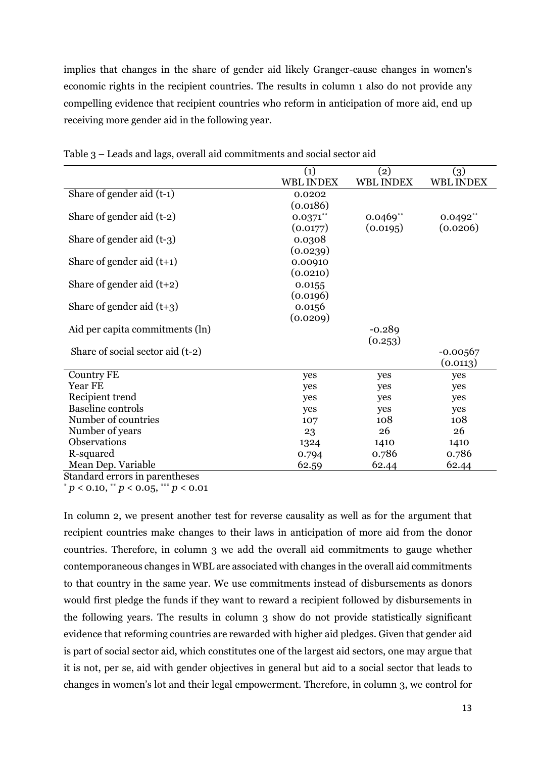implies that changes in the share of gender aid likely Granger-cause changes in women's economic rights in the recipient countries. The results in column 1 also do not provide any compelling evidence that recipient countries who reform in anticipation of more aid, end up receiving more gender aid in the following year.

|                                  | $\left( 1\right)$ | (2)              | (3)              |
|----------------------------------|-------------------|------------------|------------------|
|                                  | <b>WBL INDEX</b>  | <b>WBL INDEX</b> | <b>WBL INDEX</b> |
| Share of gender aid (t-1)        | 0.0202            |                  |                  |
|                                  | (0.0186)          |                  |                  |
| Share of gender aid (t-2)        | $0.0371***$       | $0.0469**$       | $0.0492**$       |
|                                  | (0.0177)          | (0.0195)         | (0.0206)         |
| Share of gender aid $(t-3)$      | 0.0308            |                  |                  |
|                                  | (0.0239)          |                  |                  |
| Share of gender aid $(t+1)$      | 0.00910           |                  |                  |
|                                  | (0.0210)          |                  |                  |
| Share of gender aid $(t+2)$      | 0.0155            |                  |                  |
|                                  | (0.0196)          |                  |                  |
| Share of gender aid $(t+3)$      | 0.0156            |                  |                  |
|                                  | (0.0209)          |                  |                  |
| Aid per capita commitments (ln)  |                   | $-0.289$         |                  |
|                                  |                   | (0.253)          |                  |
| Share of social sector aid (t-2) |                   |                  | $-0.00567$       |
|                                  |                   |                  | (0.0113)         |
| <b>Country FE</b>                | yes               | yes              | yes              |
| Year FE                          | yes               | yes              | yes              |
| Recipient trend                  | yes               | yes              | yes              |
| <b>Baseline</b> controls         | yes               | yes              | yes              |
| Number of countries              | 107               | 108              | 108              |
| Number of years                  | 23                | 26               | 26               |
| Observations                     | 1324              | 1410             | 1410             |
| R-squared                        | 0.794             | 0.786            | 0.786            |
| Mean Dep. Variable               | 62.59             | 62.44            | 62.44            |

Table 3 – Leads and lags, overall aid commitments and social sector aid

Standard errors in parentheses

 $p < 0.10$ , \*\*  $p < 0.05$ , \*\*\*  $p < 0.01$ 

In column 2, we present another test for reverse causality as well as for the argument that recipient countries make changes to their laws in anticipation of more aid from the donor countries. Therefore, in column 3 we add the overall aid commitments to gauge whether contemporaneous changes in WBL are associated with changes in the overall aid commitments to that country in the same year. We use commitments instead of disbursements as donors would first pledge the funds if they want to reward a recipient followed by disbursements in the following years. The results in column 3 show do not provide statistically significant evidence that reforming countries are rewarded with higher aid pledges. Given that gender aid is part of social sector aid, which constitutes one of the largest aid sectors, one may argue that it is not, per se, aid with gender objectives in general but aid to a social sector that leads to changes in women's lot and their legal empowerment. Therefore, in column 3, we control for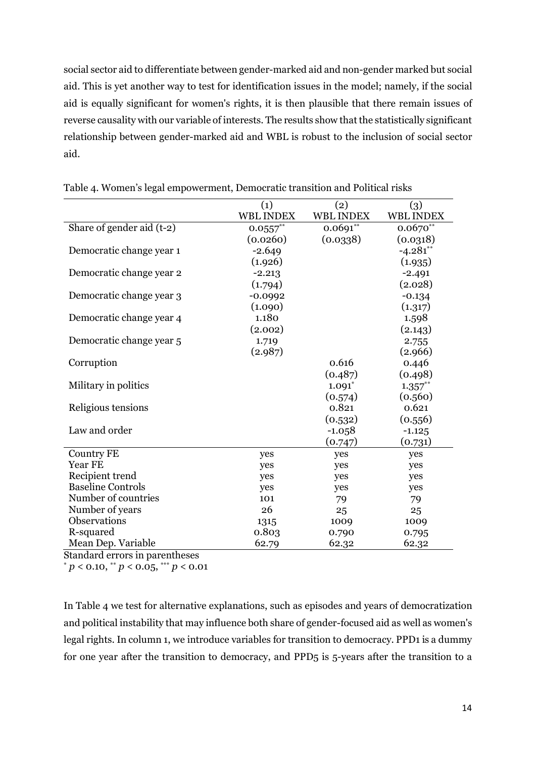social sector aid to differentiate between gender-marked aid and non-gender marked but social aid. This is yet another way to test for identification issues in the model; namely, if the social aid is equally significant for women's rights, it is then plausible that there remain issues of reverse causality with our variable of interests. The results show that the statistically significant relationship between gender-marked aid and WBL is robust to the inclusion of social sector aid.

|                           | (1)              | (2)              | (3)                    |
|---------------------------|------------------|------------------|------------------------|
|                           | <b>WBL INDEX</b> | <b>WBL INDEX</b> | <b>WBL INDEX</b>       |
| Share of gender aid (t-2) | $0.0557**$       | $0.0691**$       | $0.0670**$             |
|                           | (0.0260)         | (0.0338)         | (0.0318)               |
| Democratic change year 1  | $-2.649$         |                  | $-4.281$ <sup>**</sup> |
|                           | (1.926)          |                  | (1.935)                |
| Democratic change year 2  | $-2.213$         |                  | $-2.491$               |
|                           | (1.794)          |                  | (2.028)                |
| Democratic change year 3  | $-0.0992$        |                  | $-0.134$               |
|                           | (1.090)          |                  | (1.317)                |
| Democratic change year 4  | 1.180            |                  | 1.598                  |
|                           | (2.002)          |                  | (2.143)                |
| Democratic change year 5  | 1.719            |                  | 2.755                  |
|                           | (2.987)          |                  | (2.966)                |
| Corruption                |                  | 0.616            | 0.446                  |
|                           |                  | (0.487)          | (0.498)                |
| Military in politics      |                  | $1.091*$         | $1.357***$             |
|                           |                  | (0.574)          | (0.560)                |
| Religious tensions        |                  | 0.821            | 0.621                  |
|                           |                  | (0.532)          | (0.556)                |
| Law and order             |                  | $-1.058$         | $-1.125$               |
|                           |                  | (0.747)          | (0.731)                |
| <b>Country FE</b>         | yes              | yes              | yes                    |
| Year FE                   | yes              | yes              | yes                    |
| Recipient trend           | yes              | yes              | yes                    |
| <b>Baseline Controls</b>  | yes              | yes              | yes                    |
| Number of countries       | 101              | 79               | 79                     |
| Number of years           | 26               | 25               | 25                     |
| Observations              | 1315             | 1009             | 1009                   |
| R-squared                 | 0.803            | 0.790            | 0.795                  |
| Mean Dep. Variable        | 62.79            | 62.32            | 62.32                  |

Table 4. Women's legal empowerment, Democratic transition and Political risks

Standard errors in parentheses

 $p < 0.10$ ,  $p < 0.05$ ,  $p < 0.01$ 

In Table 4 we test for alternative explanations, such as episodes and years of democratization and political instability that may influence both share of gender-focused aid as well as women's legal rights. In column 1, we introduce variables for transition to democracy. PPD1 is a dummy for one year after the transition to democracy, and PPD5 is 5-years after the transition to a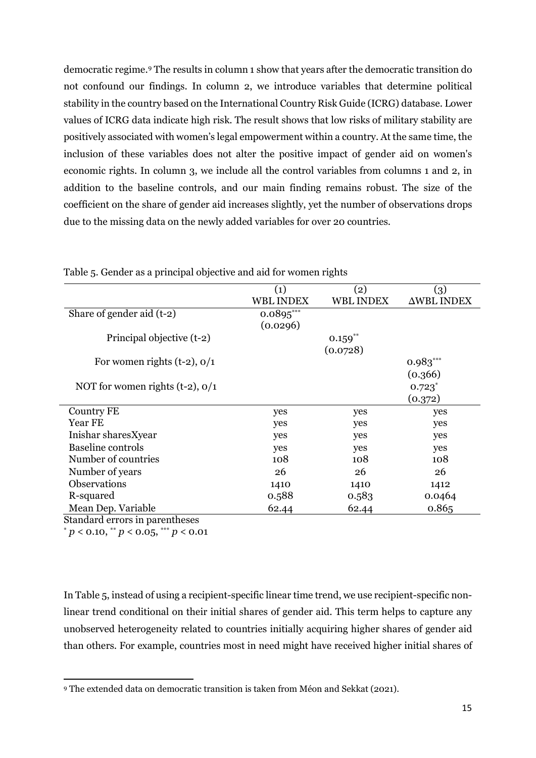democratic regime.[9](#page-14-0) The results in column 1 show that years after the democratic transition do not confound our findings. In column 2, we introduce variables that determine political stability in the country based on the International Country Risk Guide (ICRG) database. Lower values of ICRG data indicate high risk. The result shows that low risks of military stability are positively associated with women's legal empowerment within a country. At the same time, the inclusion of these variables does not alter the positive impact of gender aid on women's economic rights. In column 3, we include all the control variables from columns 1 and 2, in addition to the baseline controls, and our main finding remains robust. The size of the coefficient on the share of gender aid increases slightly, yet the number of observations drops due to the missing data on the newly added variables for over 20 countries.

|                                      | (1)              | $\rm(2)$              | (3)               |
|--------------------------------------|------------------|-----------------------|-------------------|
|                                      | <b>WBL INDEX</b> | <b>WBL INDEX</b>      | <b>AWBL INDEX</b> |
| Share of gender aid $(t-2)$          | $0.0895***$      |                       |                   |
|                                      | (0.0296)         |                       |                   |
| Principal objective (t-2)            |                  | $0.159$ <sup>**</sup> |                   |
|                                      |                  | (0.0728)              |                   |
| For women rights $(t-2)$ , $0/1$     |                  |                       | $0.983***$        |
|                                      |                  |                       | (0.366)           |
| NOT for women rights $(t-2)$ , $0/1$ |                  |                       | $0.723*$          |
|                                      |                  |                       | (0.372)           |
| <b>Country FE</b>                    | yes              | yes                   | yes               |
| Year FE                              | yes              | yes                   | yes               |
| Inishar sharesXyear                  | yes              | yes                   | yes               |
| Baseline controls                    | yes              | yes                   | yes               |
| Number of countries                  | 108              | 108                   | 108               |
| Number of years                      | 26               | 26                    | 26                |
| <b>Observations</b>                  | 1410             | 1410                  | 1412              |
| R-squared                            | 0.588            | 0.583                 | 0.0464            |
| Mean Dep. Variable                   | 62.44            | 62.44                 | 0.865             |

|  |  | Table 5. Gender as a principal objective and aid for women rights |  |
|--|--|-------------------------------------------------------------------|--|
|  |  |                                                                   |  |

Standard errors in parentheses  $p < 0.10,$  \*\*  $p < 0.05,$  \*\*\*  $p < 0.01$ 

 $\overline{a}$ 

In Table 5, instead of using a recipient-specific linear time trend, we use recipient-specific nonlinear trend conditional on their initial shares of gender aid. This term helps to capture any unobserved heterogeneity related to countries initially acquiring higher shares of gender aid than others. For example, countries most in need might have received higher initial shares of

<span id="page-14-0"></span><sup>9</sup> The extended data on democratic transition is taken from Méon and Sekkat (2021).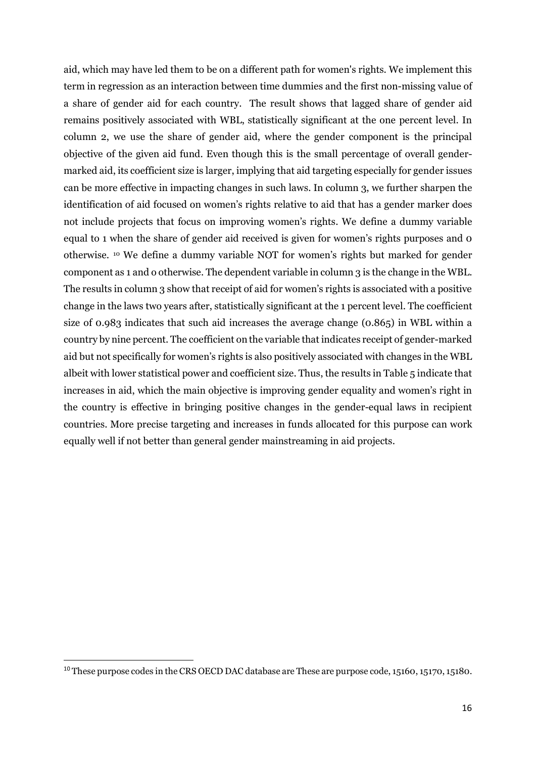aid, which may have led them to be on a different path for women's rights. We implement this term in regression as an interaction between time dummies and the first non-missing value of a share of gender aid for each country. The result shows that lagged share of gender aid remains positively associated with WBL, statistically significant at the one percent level. In column 2, we use the share of gender aid, where the gender component is the principal objective of the given aid fund. Even though this is the small percentage of overall gendermarked aid, its coefficient size is larger, implying that aid targeting especially for gender issues can be more effective in impacting changes in such laws. In column 3, we further sharpen the identification of aid focused on women's rights relative to aid that has a gender marker does not include projects that focus on improving women's rights. We define a dummy variable equal to 1 when the share of gender aid received is given for women's rights purposes and 0 otherwise. [10](#page-15-0) We define a dummy variable NOT for women's rights but marked for gender component as 1 and o otherwise. The dependent variable in column 3 is the change in the WBL. The results in column 3 show that receipt of aid for women's rights is associated with a positive change in the laws two years after, statistically significant at the 1 percent level. The coefficient size of 0.983 indicates that such aid increases the average change (0.865) in WBL within a country by nine percent. The coefficient on the variable that indicates receipt of gender-marked aid but not specifically for women's rights is also positively associated with changes in the WBL albeit with lower statistical power and coefficient size. Thus, the results in Table 5 indicate that increases in aid, which the main objective is improving gender equality and women's right in the country is effective in bringing positive changes in the gender-equal laws in recipient countries. More precise targeting and increases in funds allocated for this purpose can work equally well if not better than general gender mainstreaming in aid projects.

<span id="page-15-0"></span><sup>&</sup>lt;sup>10</sup> These purpose codes in the CRS OECD DAC database are These are purpose code, 15160, 15170, 15180.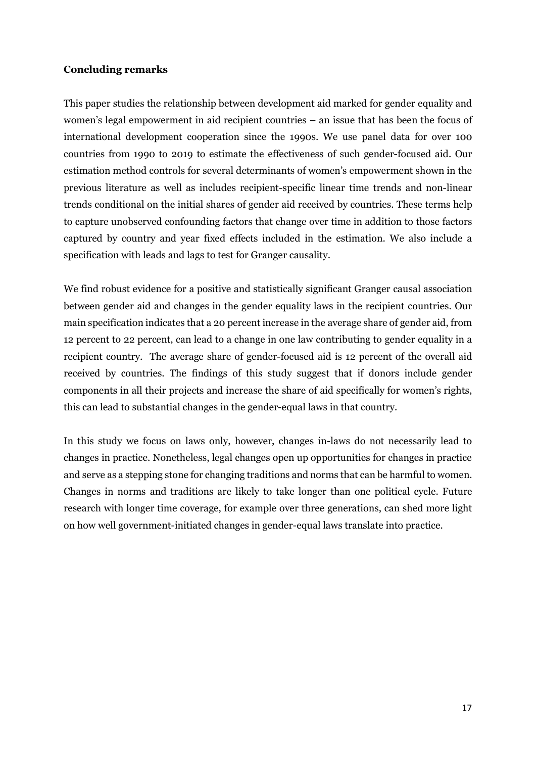# **Concluding remarks**

This paper studies the relationship between development aid marked for gender equality and women's legal empowerment in aid recipient countries – an issue that has been the focus of international development cooperation since the 1990s. We use panel data for over 100 countries from 1990 to 2019 to estimate the effectiveness of such gender-focused aid. Our estimation method controls for several determinants of women's empowerment shown in the previous literature as well as includes recipient-specific linear time trends and non-linear trends conditional on the initial shares of gender aid received by countries. These terms help to capture unobserved confounding factors that change over time in addition to those factors captured by country and year fixed effects included in the estimation. We also include a specification with leads and lags to test for Granger causality.

We find robust evidence for a positive and statistically significant Granger causal association between gender aid and changes in the gender equality laws in the recipient countries. Our main specification indicates that a 20 percent increase in the average share of gender aid, from 12 percent to 22 percent, can lead to a change in one law contributing to gender equality in a recipient country. The average share of gender-focused aid is 12 percent of the overall aid received by countries. The findings of this study suggest that if donors include gender components in all their projects and increase the share of aid specifically for women's rights, this can lead to substantial changes in the gender-equal laws in that country.

In this study we focus on laws only, however, changes in-laws do not necessarily lead to changes in practice. Nonetheless, legal changes open up opportunities for changes in practice and serve as a stepping stone for changing traditions and norms that can be harmful to women. Changes in norms and traditions are likely to take longer than one political cycle. Future research with longer time coverage, for example over three generations, can shed more light on how well government-initiated changes in gender-equal laws translate into practice.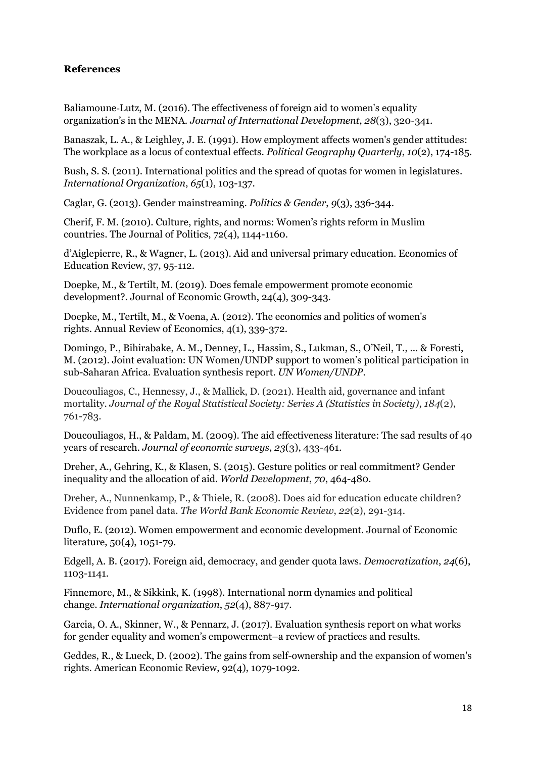# **References**

Baliamoune-Lutz, M. (2016). The effectiveness of foreign aid to women's equality organization's in the MENA. *Journal of International Development*, *28*(3), 320-341.

Banaszak, L. A., & Leighley, J. E. (1991). How employment affects women's gender attitudes: The workplace as a locus of contextual effects. *Political Geography Quarterly*, *10*(2), 174-185.

Bush, S. S. (2011). International politics and the spread of quotas for women in legislatures. *International Organization*, *65*(1), 103-137.

Caglar, G. (2013). Gender mainstreaming. *Politics & Gender*, *9*(3), 336-344.

Cherif, F. M. (2010). Culture, rights, and norms: Women's rights reform in Muslim countries. The Journal of Politics, 72(4), 1144-1160.

d'Aiglepierre, R., & Wagner, L. (2013). Aid and universal primary education. Economics of Education Review, 37, 95-112.

Doepke, M., & Tertilt, M. (2019). Does female empowerment promote economic development?. Journal of Economic Growth, 24(4), 309-343.

Doepke, M., Tertilt, M., & Voena, A. (2012). The economics and politics of women's rights. Annual Review of Economics, 4(1), 339-372.

Domingo, P., Bihirabake, A. M., Denney, L., Hassim, S., Lukman, S., O'Neil, T., ... & Foresti, M. (2012). Joint evaluation: UN Women/UNDP support to women's political participation in sub-Saharan Africa. Evaluation synthesis report. *UN Women/UNDP*.

Doucouliagos, C., Hennessy, J., & Mallick, D. (2021). Health aid, governance and infant mortality. *Journal of the Royal Statistical Society: Series A (Statistics in Society)*, *184*(2), 761-783.

Doucouliagos, H., & Paldam, M. (2009). The aid effectiveness literature: The sad results of 40 years of research. *Journal of economic surveys*, *23*(3), 433-461.

Dreher, A., Gehring, K., & Klasen, S. (2015). Gesture politics or real commitment? Gender inequality and the allocation of aid. *World Development*, *70*, 464-480.

Dreher, A., Nunnenkamp, P., & Thiele, R. (2008). Does aid for education educate children? Evidence from panel data. *The World Bank Economic Review*, *22*(2), 291-314.

Duflo, E. (2012). Women empowerment and economic development. Journal of Economic literature, 50(4), 1051-79.

Edgell, A. B. (2017). Foreign aid, democracy, and gender quota laws. *Democratization*, *24*(6), 1103-1141.

Finnemore, M., & Sikkink, K. (1998). International norm dynamics and political change. *International organization*, *52*(4), 887-917.

Garcia, O. A., Skinner, W., & Pennarz, J. (2017). Evaluation synthesis report on what works for gender equality and women's empowerment–a review of practices and results.

Geddes, R., & Lueck, D. (2002). The gains from self-ownership and the expansion of women's rights. American Economic Review, 92(4), 1079-1092.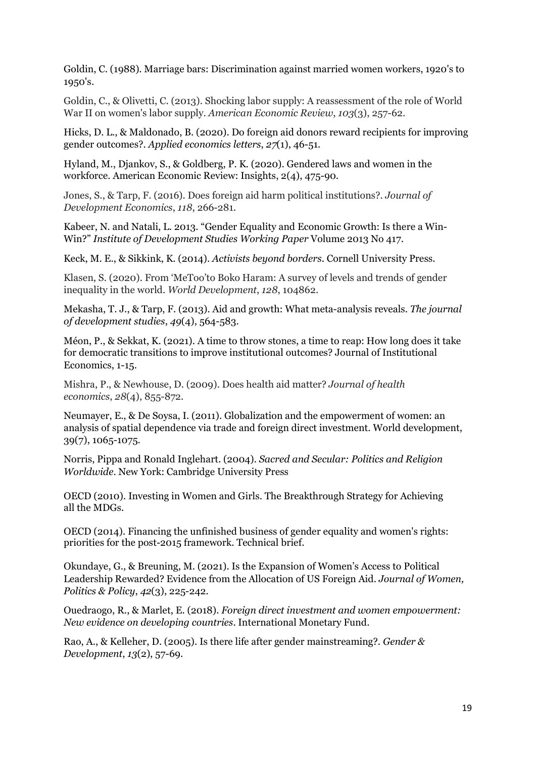Goldin, C. (1988). Marriage bars: Discrimination against married women workers, 1920's to 1950's.

Goldin, C., & Olivetti, C. (2013). Shocking labor supply: A reassessment of the role of World War II on women's labor supply. *American Economic Review*, *103*(3), 257-62.

Hicks, D. L., & Maldonado, B. (2020). Do foreign aid donors reward recipients for improving gender outcomes?. *Applied economics letters*, *27*(1), 46-51.

Hyland, M., Djankov, S., & Goldberg, P. K. (2020). Gendered laws and women in the workforce. American Economic Review: Insights, 2(4), 475-90.

Jones, S., & Tarp, F. (2016). Does foreign aid harm political institutions?. *Journal of Development Economics*, *118*, 266-281.

Kabeer, N. and Natali, L. 2013. "Gender Equality and Economic Growth: Is there a Win-Win?" *Institute of Development Studies Working Paper* Volume 2013 No 417.

Keck, M. E., & Sikkink, K. (2014). *Activists beyond borders*. Cornell University Press.

Klasen, S. (2020). From 'MeToo'to Boko Haram: A survey of levels and trends of gender inequality in the world. *World Development*, *128*, 104862.

Mekasha, T. J., & Tarp, F. (2013). Aid and growth: What meta-analysis reveals. *The journal of development studies*, *49*(4), 564-583.

Méon, P., & Sekkat, K. (2021). A time to throw stones, a time to reap: How long does it take for democratic transitions to improve institutional outcomes? Journal of Institutional Economics, 1-15.

Mishra, P., & Newhouse, D. (2009). Does health aid matter? *Journal of health economics*, *28*(4), 855-872.

Neumayer, E., & De Soysa, I. (2011). Globalization and the empowerment of women: an analysis of spatial dependence via trade and foreign direct investment. World development, 39(7), 1065-1075.

Norris, Pippa and Ronald Inglehart. (2004). *Sacred and Secular: Politics and Religion Worldwide*. New York: Cambridge University Press

OECD (2010). Investing in Women and Girls. The Breakthrough Strategy for Achieving all the MDGs.

OECD (2014). [Financing the unfinished business of gender equality and women's rights:](https://www.oecd.org/dac/gender-development/Long%20version%20-%20Financing%20the%20unfinished%20business%20of%20gender%20equality.pdf)  [priorities for the post-2015 framework. Technical brief.](https://www.oecd.org/dac/gender-development/Long%20version%20-%20Financing%20the%20unfinished%20business%20of%20gender%20equality.pdf)

Okundaye, G., & Breuning, M. (2021). Is the Expansion of Women's Access to Political Leadership Rewarded? Evidence from the Allocation of US Foreign Aid. *Journal of Women, Politics & Policy*, *42*(3), 225-242.

Ouedraogo, R., & Marlet, E. (2018). *Foreign direct investment and women empowerment: New evidence on developing countries*. International Monetary Fund.

Rao, A., & Kelleher, D. (2005). Is there life after gender mainstreaming?. *Gender & Development*, *13*(2), 57-69.